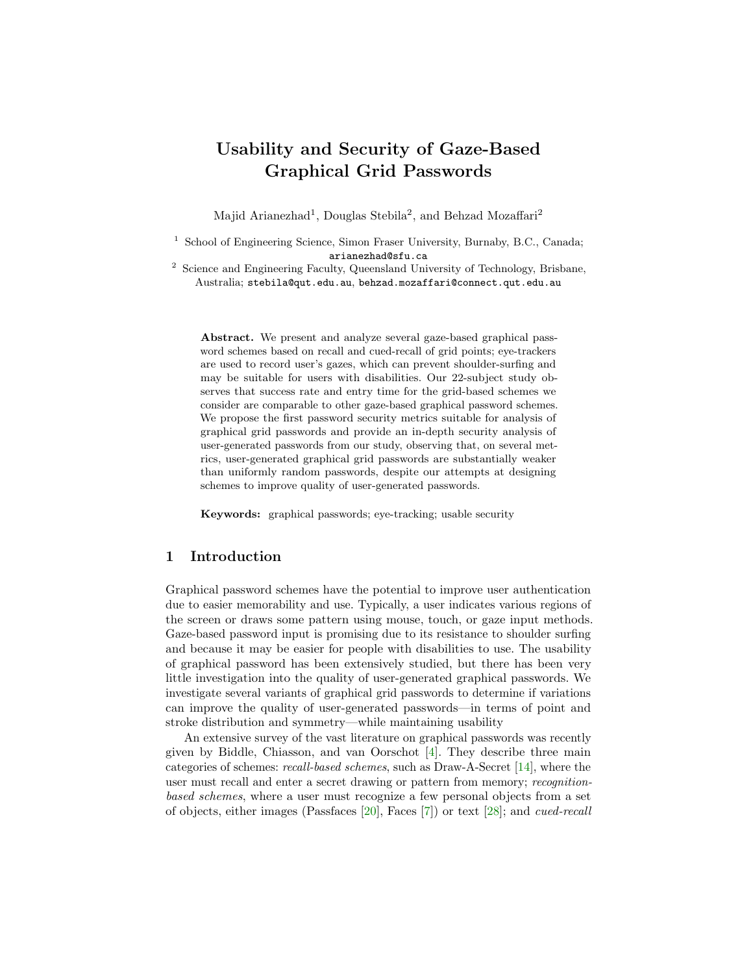# Usability and Security of Gaze-Based Graphical Grid Passwords

Majid Arianezhad<sup>1</sup>, Douglas Stebila<sup>2</sup>, and Behzad Mozaffari<sup>2</sup>

<sup>1</sup> School of Engineering Science, Simon Fraser University, Burnaby, B.C., Canada; arianezhad@sfu.ca

<sup>2</sup> Science and Engineering Faculty, Queensland University of Technology, Brisbane, Australia; stebila@qut.edu.au, behzad.mozaffari@connect.qut.edu.au

Abstract. We present and analyze several gaze-based graphical password schemes based on recall and cued-recall of grid points; eye-trackers are used to record user's gazes, which can prevent shoulder-surfing and may be suitable for users with disabilities. Our 22-subject study observes that success rate and entry time for the grid-based schemes we consider are comparable to other gaze-based graphical password schemes. We propose the first password security metrics suitable for analysis of graphical grid passwords and provide an in-depth security analysis of user-generated passwords from our study, observing that, on several metrics, user-generated graphical grid passwords are substantially weaker than uniformly random passwords, despite our attempts at designing schemes to improve quality of user-generated passwords.

Keywords: graphical passwords; eye-tracking; usable security

## 1 Introduction

Graphical password schemes have the potential to improve user authentication due to easier memorability and use. Typically, a user indicates various regions of the screen or draws some pattern using mouse, touch, or gaze input methods. Gaze-based password input is promising due to its resistance to shoulder surfing and because it may be easier for people with disabilities to use. The usability of graphical password has been extensively studied, but there has been very little investigation into the quality of user-generated graphical passwords. We investigate several variants of graphical grid passwords to determine if variations can improve the quality of user-generated passwords—in terms of point and stroke distribution and symmetry—while maintaining usability

An extensive survey of the vast literature on graphical passwords was recently given by Biddle, Chiasson, and van Oorschot [\[4\]](#page-10-0). They describe three main categories of schemes: recall-based schemes, such as Draw-A-Secret [\[14\]](#page-10-1), where the user must recall and enter a secret drawing or pattern from memory; recognitionbased schemes, where a user must recognize a few personal objects from a set of objects, either images (Passfaces [\[20\]](#page-11-0), Faces [\[7\]](#page-10-2)) or text [\[28\]](#page-11-1); and cued-recall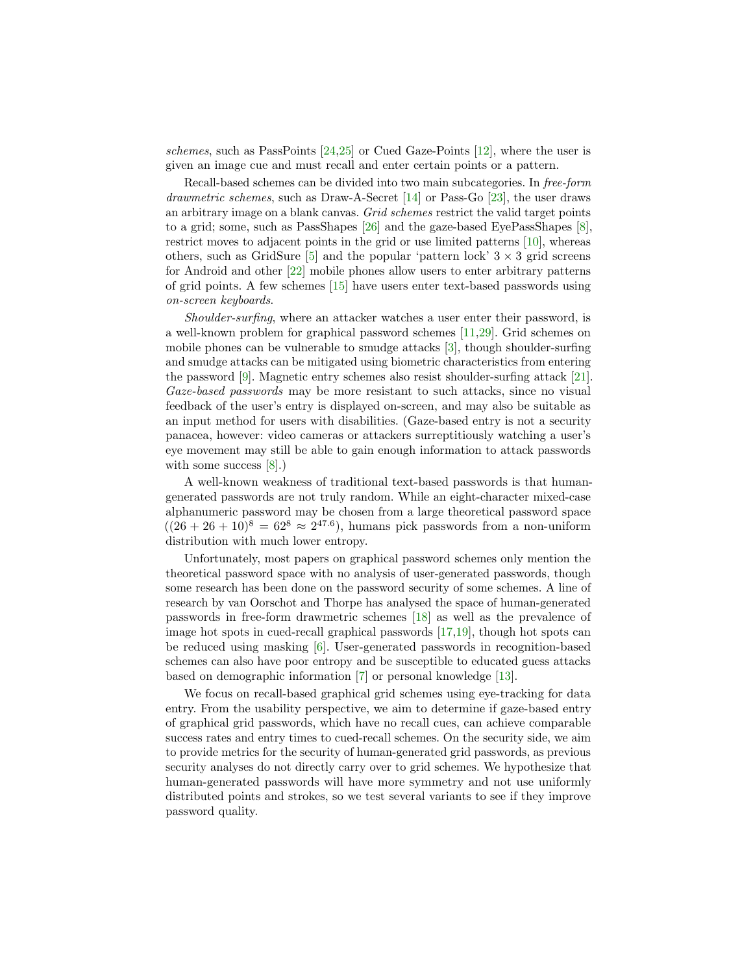schemes, such as PassPoints  $[24,25]$  $[24,25]$  or Cued Gaze-Points  $[12]$ , where the user is given an image cue and must recall and enter certain points or a pattern.

Recall-based schemes can be divided into two main subcategories. In free-form drawmetric schemes, such as Draw-A-Secret [\[14\]](#page-10-1) or Pass-Go [\[23\]](#page-11-4), the user draws an arbitrary image on a blank canvas. Grid schemes restrict the valid target points to a grid; some, such as PassShapes [\[26\]](#page-11-5) and the gaze-based EyePassShapes [\[8\]](#page-10-4), restrict moves to adjacent points in the grid or use limited patterns [\[10\]](#page-10-5), whereas others, such as GridSure [\[5\]](#page-10-6) and the popular 'pattern lock'  $3 \times 3$  grid screens for Android and other [\[22\]](#page-11-6) mobile phones allow users to enter arbitrary patterns of grid points. A few schemes [\[15\]](#page-10-7) have users enter text-based passwords using on-screen keyboards.

Shoulder-surfing, where an attacker watches a user enter their password, is a well-known problem for graphical password schemes [\[11,](#page-10-8)[29\]](#page-11-7). Grid schemes on mobile phones can be vulnerable to smudge attacks [\[3\]](#page-10-9), though shoulder-surfing and smudge attacks can be mitigated using biometric characteristics from entering the password [\[9\]](#page-10-10). Magnetic entry schemes also resist shoulder-surfing attack [\[21\]](#page-11-8). Gaze-based passwords may be more resistant to such attacks, since no visual feedback of the user's entry is displayed on-screen, and may also be suitable as an input method for users with disabilities. (Gaze-based entry is not a security panacea, however: video cameras or attackers surreptitiously watching a user's eye movement may still be able to gain enough information to attack passwords with some success [\[8\]](#page-10-4).)

A well-known weakness of traditional text-based passwords is that humangenerated passwords are not truly random. While an eight-character mixed-case alphanumeric password may be chosen from a large theoretical password space  $((26+26+10)^8 = 62^8 \approx 2^{47.6})$ , humans pick passwords from a non-uniform distribution with much lower entropy.

Unfortunately, most papers on graphical password schemes only mention the theoretical password space with no analysis of user-generated passwords, though some research has been done on the password security of some schemes. A line of research by van Oorschot and Thorpe has analysed the space of human-generated passwords in free-form drawmetric schemes [\[18\]](#page-11-9) as well as the prevalence of image hot spots in cued-recall graphical passwords [\[17](#page-11-10)[,19\]](#page-11-11), though hot spots can be reduced using masking [\[6\]](#page-10-11). User-generated passwords in recognition-based schemes can also have poor entropy and be susceptible to educated guess attacks based on demographic information [\[7\]](#page-10-2) or personal knowledge [\[13\]](#page-10-12).

We focus on recall-based graphical grid schemes using eye-tracking for data entry. From the usability perspective, we aim to determine if gaze-based entry of graphical grid passwords, which have no recall cues, can achieve comparable success rates and entry times to cued-recall schemes. On the security side, we aim to provide metrics for the security of human-generated grid passwords, as previous security analyses do not directly carry over to grid schemes. We hypothesize that human-generated passwords will have more symmetry and not use uniformly distributed points and strokes, so we test several variants to see if they improve password quality.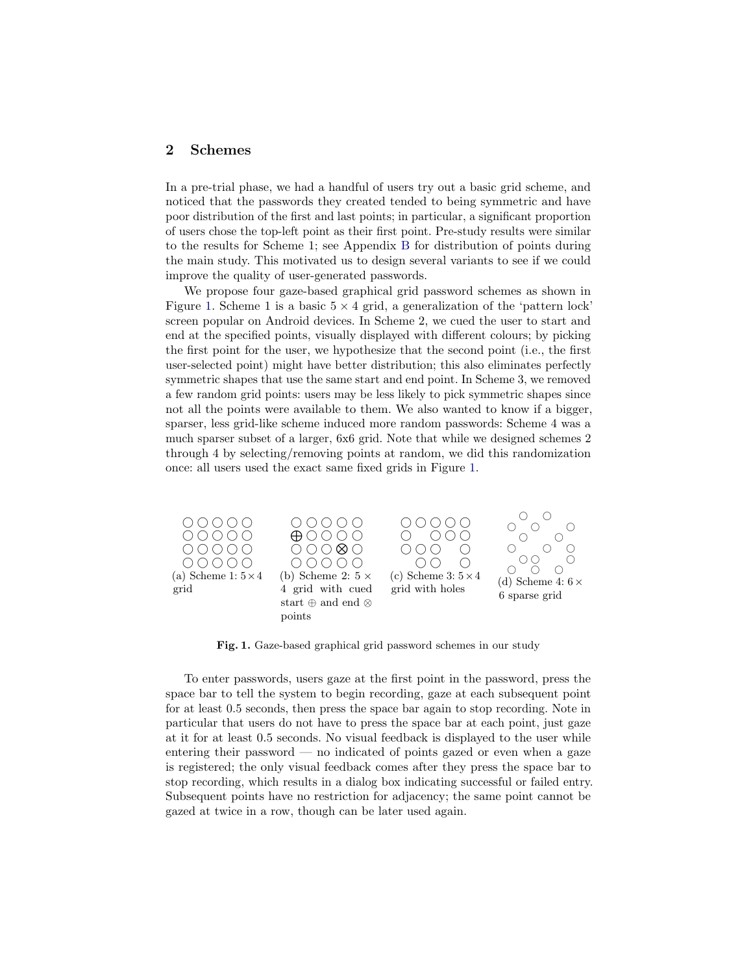# 2 Schemes

In a pre-trial phase, we had a handful of users try out a basic grid scheme, and noticed that the passwords they created tended to being symmetric and have poor distribution of the first and last points; in particular, a significant proportion of users chose the top-left point as their first point. Pre-study results were similar to the results for Scheme 1; see Appendix [B](#page-13-0) for distribution of points during the main study. This motivated us to design several variants to see if we could improve the quality of user-generated passwords.

We propose four gaze-based graphical grid password schemes as shown in Figure [1.](#page-2-0) Scheme 1 is a basic  $5 \times 4$  grid, a generalization of the 'pattern lock' screen popular on Android devices. In Scheme 2, we cued the user to start and end at the specified points, visually displayed with different colours; by picking the first point for the user, we hypothesize that the second point (i.e., the first user-selected point) might have better distribution; this also eliminates perfectly symmetric shapes that use the same start and end point. In Scheme 3, we removed a few random grid points: users may be less likely to pick symmetric shapes since not all the points were available to them. We also wanted to know if a bigger, sparser, less grid-like scheme induced more random passwords: Scheme 4 was a much sparser subset of a larger, 6x6 grid. Note that while we designed schemes 2 through 4 by selecting/removing points at random, we did this randomization once: all users used the exact same fixed grids in Figure [1.](#page-2-0)



<span id="page-2-0"></span>Fig. 1. Gaze-based graphical grid password schemes in our study

To enter passwords, users gaze at the first point in the password, press the space bar to tell the system to begin recording, gaze at each subsequent point for at least 0.5 seconds, then press the space bar again to stop recording. Note in particular that users do not have to press the space bar at each point, just gaze at it for at least 0.5 seconds. No visual feedback is displayed to the user while entering their password — no indicated of points gazed or even when a gaze is registered; the only visual feedback comes after they press the space bar to stop recording, which results in a dialog box indicating successful or failed entry. Subsequent points have no restriction for adjacency; the same point cannot be gazed at twice in a row, though can be later used again.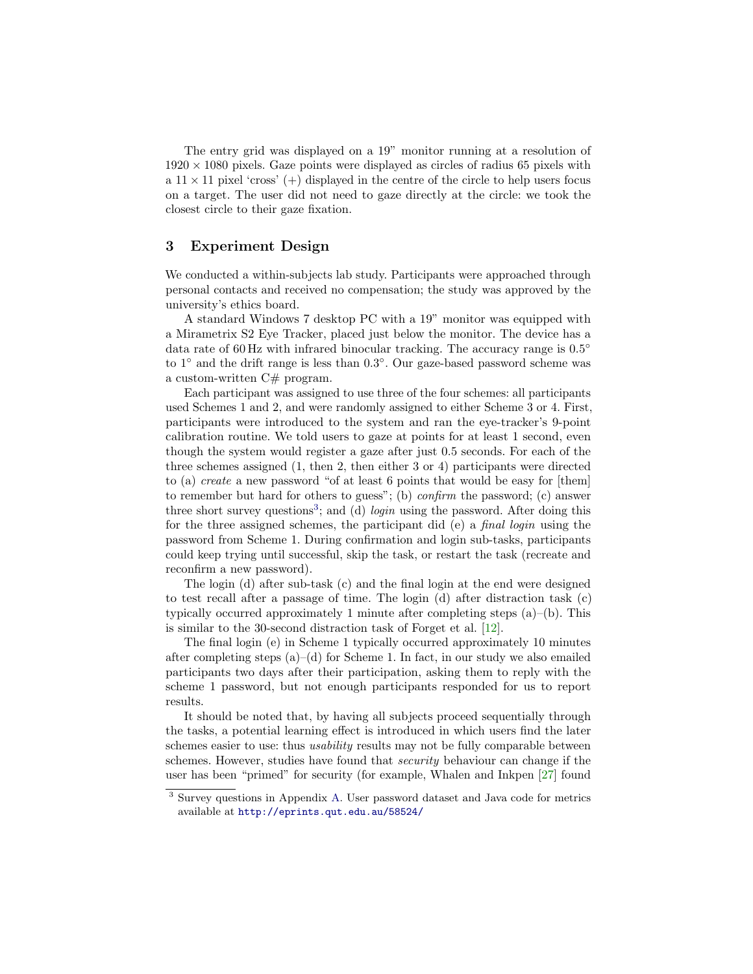The entry grid was displayed on a 19" monitor running at a resolution of  $1920 \times 1080$  pixels. Gaze points were displayed as circles of radius 65 pixels with a  $11 \times 11$  pixel 'cross'  $(+)$  displayed in the centre of the circle to help users focus on a target. The user did not need to gaze directly at the circle: we took the closest circle to their gaze fixation.

### 3 Experiment Design

We conducted a within-subjects lab study. Participants were approached through personal contacts and received no compensation; the study was approved by the university's ethics board.

A standard Windows 7 desktop PC with a 19" monitor was equipped with a Mirametrix S2 Eye Tracker, placed just below the monitor. The device has a data rate of 60 Hz with infrared binocular tracking. The accuracy range is  $0.5°$ to 1◦ and the drift range is less than 0.3◦ . Our gaze-based password scheme was a custom-written C# program.

Each participant was assigned to use three of the four schemes: all participants used Schemes 1 and 2, and were randomly assigned to either Scheme 3 or 4. First, participants were introduced to the system and ran the eye-tracker's 9-point calibration routine. We told users to gaze at points for at least 1 second, even though the system would register a gaze after just 0.5 seconds. For each of the three schemes assigned (1, then 2, then either 3 or 4) participants were directed to (a) create a new password "of at least 6 points that would be easy for [them] to remember but hard for others to guess"; (b) confirm the password; (c) answer three short survey questions<sup>[3](#page-3-0)</sup>; and (d)  $login$  using the password. After doing this for the three assigned schemes, the participant did (e) a final login using the password from Scheme 1. During confirmation and login sub-tasks, participants could keep trying until successful, skip the task, or restart the task (recreate and reconfirm a new password).

The login (d) after sub-task (c) and the final login at the end were designed to test recall after a passage of time. The login (d) after distraction task (c) typically occurred approximately 1 minute after completing steps  $(a)$ – $(b)$ . This is similar to the 30-second distraction task of Forget et al. [\[12\]](#page-10-3).

The final login (e) in Scheme 1 typically occurred approximately 10 minutes after completing steps  $(a)$ – $(d)$  for Scheme 1. In fact, in our study we also emailed participants two days after their participation, asking them to reply with the scheme 1 password, but not enough participants responded for us to report results.

It should be noted that, by having all subjects proceed sequentially through the tasks, a potential learning effect is introduced in which users find the later schemes easier to use: thus *usability* results may not be fully comparable between schemes. However, studies have found that security behaviour can change if the user has been "primed" for security (for example, Whalen and Inkpen [\[27\]](#page-11-12) found

<span id="page-3-0"></span><sup>3</sup> Survey questions in Appendix [A.](#page-11-13) User password dataset and Java code for metrics available at <http://eprints.qut.edu.au/58524/>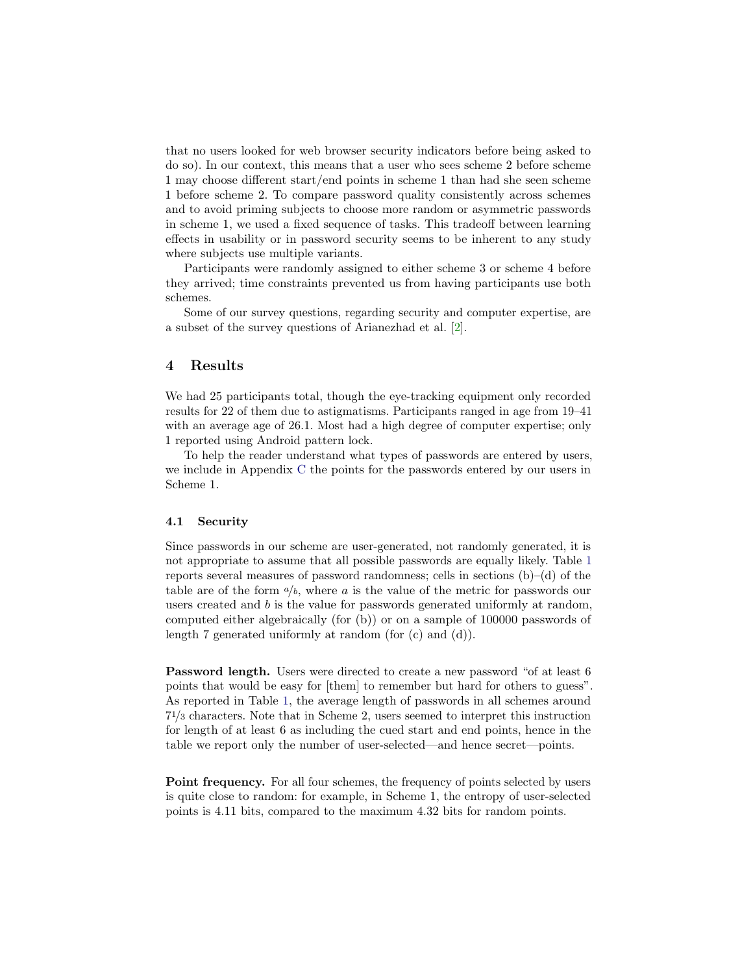that no users looked for web browser security indicators before being asked to do so). In our context, this means that a user who sees scheme 2 before scheme 1 may choose different start/end points in scheme 1 than had she seen scheme 1 before scheme 2. To compare password quality consistently across schemes and to avoid priming subjects to choose more random or asymmetric passwords in scheme 1, we used a fixed sequence of tasks. This tradeoff between learning effects in usability or in password security seems to be inherent to any study where subjects use multiple variants.

Participants were randomly assigned to either scheme 3 or scheme 4 before they arrived; time constraints prevented us from having participants use both schemes.

Some of our survey questions, regarding security and computer expertise, are a subset of the survey questions of Arianezhad et al. [\[2\]](#page-10-13).

#### 4 Results

We had 25 participants total, though the eye-tracking equipment only recorded results for 22 of them due to astigmatisms. Participants ranged in age from 19–41 with an average age of 26.1. Most had a high degree of computer expertise; only 1 reported using Android pattern lock.

To help the reader understand what types of passwords are entered by users, we include in Appendix [C](#page-15-0) the points for the passwords entered by our users in Scheme 1.

#### 4.1 Security

Since passwords in our scheme are user-generated, not randomly generated, it is not appropriate to assume that all possible passwords are equally likely. Table [1](#page-5-0) reports several measures of password randomness; cells in sections (b)–(d) of the table are of the form  $a/b$ , where a is the value of the metric for passwords our users created and b is the value for passwords generated uniformly at random, computed either algebraically (for (b)) or on a sample of 100000 passwords of length 7 generated uniformly at random (for (c) and (d)).

Password length. Users were directed to create a new password "of at least 6 points that would be easy for [them] to remember but hard for others to guess". As reported in Table [1,](#page-5-0) the average length of passwords in all schemes around 71/<sup>3</sup> characters. Note that in Scheme 2, users seemed to interpret this instruction for length of at least 6 as including the cued start and end points, hence in the table we report only the number of user-selected—and hence secret—points.

Point frequency. For all four schemes, the frequency of points selected by users is quite close to random: for example, in Scheme 1, the entropy of user-selected points is 4.11 bits, compared to the maximum 4.32 bits for random points.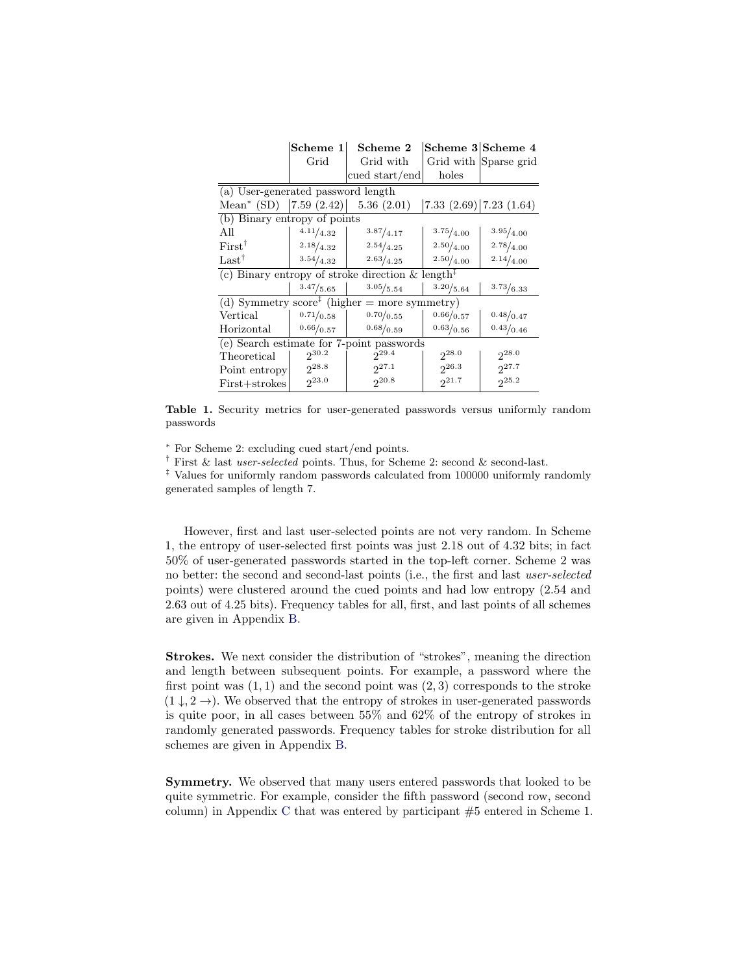|                                                                                  | Scheme $1\vert$ | Scheme 2                                                 |            | Scheme 3 Scheme 4                                            |  |  |  |
|----------------------------------------------------------------------------------|-----------------|----------------------------------------------------------|------------|--------------------------------------------------------------|--|--|--|
|                                                                                  | Grid            | Grid with                                                |            | Grid with Sparse grid                                        |  |  |  |
|                                                                                  |                 | cued start/end                                           | holes      |                                                              |  |  |  |
| (a) User-generated password length                                               |                 |                                                          |            |                                                              |  |  |  |
| $Mean^*(SD)$                                                                     | 7.59(2.42)      | 5.36(2.01)                                               |            | $\left 7.33\right\rangle(2.69)\left 7.23\right\rangle(1.64)$ |  |  |  |
| (b) Binary entropy of points                                                     |                 |                                                          |            |                                                              |  |  |  |
| All                                                                              | 4.11/4.32       | 3.87/4.17                                                | 3.75/4.00  | 3.95/4.00                                                    |  |  |  |
| $First^{\dagger}$                                                                | 2.18/4.32       | 2.54/4.25                                                | 2.50/4.00  | 2.78/4.00                                                    |  |  |  |
| $Last^{\dagger}$                                                                 | 3.54/4.32       | 2.63/4.25                                                | 2.50/4.00  | 2.14/4.00                                                    |  |  |  |
| (c) Binary entropy of stroke direction & length <sup><math>\ddagger</math></sup> |                 |                                                          |            |                                                              |  |  |  |
|                                                                                  | 3.47/5.65       | 3.05/5.54                                                | 3.20/5.64  | 3.73/6.33                                                    |  |  |  |
|                                                                                  |                 | (d) Symmetry $score^{\ddagger}$ (higher = more symmetry) |            |                                                              |  |  |  |
| Vertical                                                                         | 0.71/0.58       | 0.70/0.55                                                | 0.66/0.57  | 0.48/0.47                                                    |  |  |  |
| Horizontal                                                                       | 0.66/0.57       | 0.68/0.59                                                | 0.63/0.56  | 0.43/0.46                                                    |  |  |  |
|                                                                                  |                 | (e) Search estimate for 7-point passwords                |            |                                                              |  |  |  |
| Theoretical                                                                      | $2^{30.2}$      | $2^{29.4}$                                               | $2^{28.0}$ | $2^{28.0}$                                                   |  |  |  |
| Point entropy                                                                    | $2^{28.8}$      | $2^{27.1}$                                               | $2^{26.3}$ | $2^{27.7}$                                                   |  |  |  |
| First+strokes                                                                    | $2^{23.0}$      | $2^{20.8}$                                               | $2^{21.7}$ | $2^{25.2}$                                                   |  |  |  |

<span id="page-5-0"></span>Table 1. Security metrics for user-generated passwords versus uniformly random passwords

<sup>∗</sup> For Scheme 2: excluding cued start/end points.

<sup>†</sup> First  $\&$  last *user-selected* points. Thus, for Scheme 2: second  $\&$  second-last.

‡ Values for uniformly random passwords calculated from 100000 uniformly randomly generated samples of length 7.

However, first and last user-selected points are not very random. In Scheme 1, the entropy of user-selected first points was just 2.18 out of 4.32 bits; in fact 50% of user-generated passwords started in the top-left corner. Scheme 2 was no better: the second and second-last points (i.e., the first and last user-selected points) were clustered around the cued points and had low entropy (2.54 and 2.63 out of 4.25 bits). Frequency tables for all, first, and last points of all schemes are given in Appendix [B.](#page-13-0)

Strokes. We next consider the distribution of "strokes", meaning the direction and length between subsequent points. For example, a password where the first point was  $(1, 1)$  and the second point was  $(2, 3)$  corresponds to the stroke  $(1\downarrow, 2\rightarrow)$ . We observed that the entropy of strokes in user-generated passwords is quite poor, in all cases between 55% and 62% of the entropy of strokes in randomly generated passwords. Frequency tables for stroke distribution for all schemes are given in Appendix [B.](#page-13-0)

Symmetry. We observed that many users entered passwords that looked to be quite symmetric. For example, consider the fifth password (second row, second column) in Appendix [C](#page-15-0) that was entered by participant #5 entered in Scheme 1.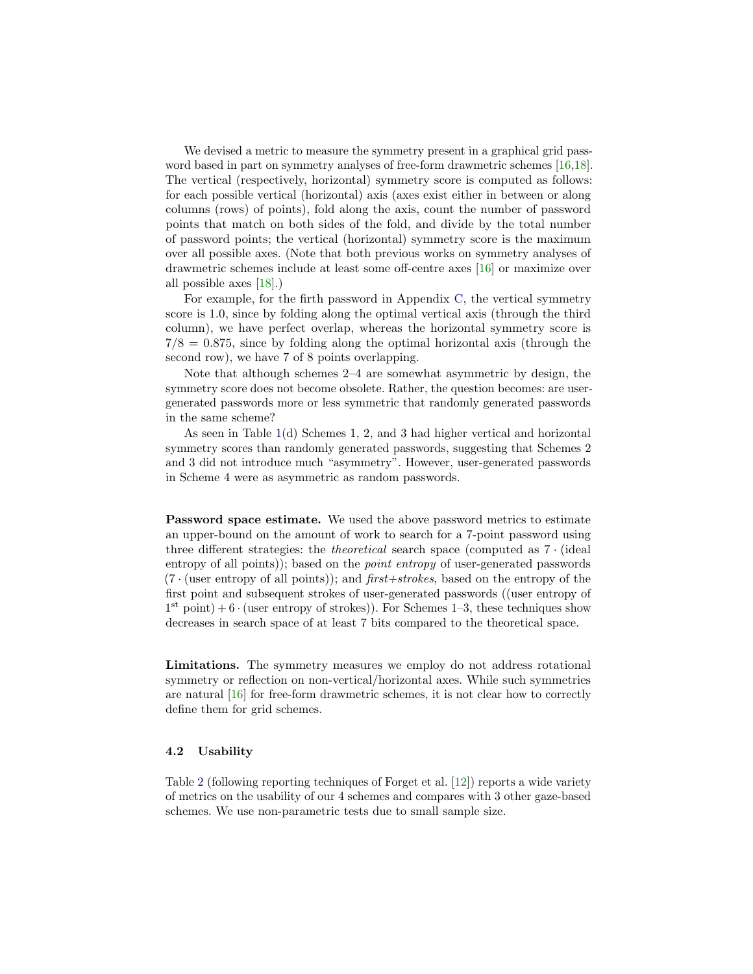We devised a metric to measure the symmetry present in a graphical grid password based in part on symmetry analyses of free-form drawmetric schemes [\[16](#page-10-14)[,18\]](#page-11-9). The vertical (respectively, horizontal) symmetry score is computed as follows: for each possible vertical (horizontal) axis (axes exist either in between or along columns (rows) of points), fold along the axis, count the number of password points that match on both sides of the fold, and divide by the total number of password points; the vertical (horizontal) symmetry score is the maximum over all possible axes. (Note that both previous works on symmetry analyses of drawmetric schemes include at least some off-centre axes [\[16\]](#page-10-14) or maximize over all possible axes [\[18\]](#page-11-9).)

For example, for the firth password in Appendix [C,](#page-15-0) the vertical symmetry score is 1.0, since by folding along the optimal vertical axis (through the third column), we have perfect overlap, whereas the horizontal symmetry score is  $7/8 = 0.875$ , since by folding along the optimal horizontal axis (through the second row), we have 7 of 8 points overlapping.

Note that although schemes 2–4 are somewhat asymmetric by design, the symmetry score does not become obsolete. Rather, the question becomes: are usergenerated passwords more or less symmetric that randomly generated passwords in the same scheme?

As seen in Table [1\(](#page-5-0)d) Schemes 1, 2, and 3 had higher vertical and horizontal symmetry scores than randomly generated passwords, suggesting that Schemes 2 and 3 did not introduce much "asymmetry". However, user-generated passwords in Scheme 4 were as asymmetric as random passwords.

Password space estimate. We used the above password metrics to estimate an upper-bound on the amount of work to search for a 7-point password using three different strategies: the theoretical search space (computed as 7 · (ideal entropy of all points)); based on the point entropy of user-generated passwords  $(7 \cdot$  (user entropy of all points)); and  $first+strokes$ , based on the entropy of the first point and subsequent strokes of user-generated passwords ((user entropy of  $1<sup>st</sup>$  point) + 6 · (user entropy of strokes)). For Schemes 1–3, these techniques show decreases in search space of at least 7 bits compared to the theoretical space.

Limitations. The symmetry measures we employ do not address rotational symmetry or reflection on non-vertical/horizontal axes. While such symmetries are natural [\[16\]](#page-10-14) for free-form drawmetric schemes, it is not clear how to correctly define them for grid schemes.

#### 4.2 Usability

Table [2](#page-7-0) (following reporting techniques of Forget et al. [\[12\]](#page-10-3)) reports a wide variety of metrics on the usability of our 4 schemes and compares with 3 other gaze-based schemes. We use non-parametric tests due to small sample size.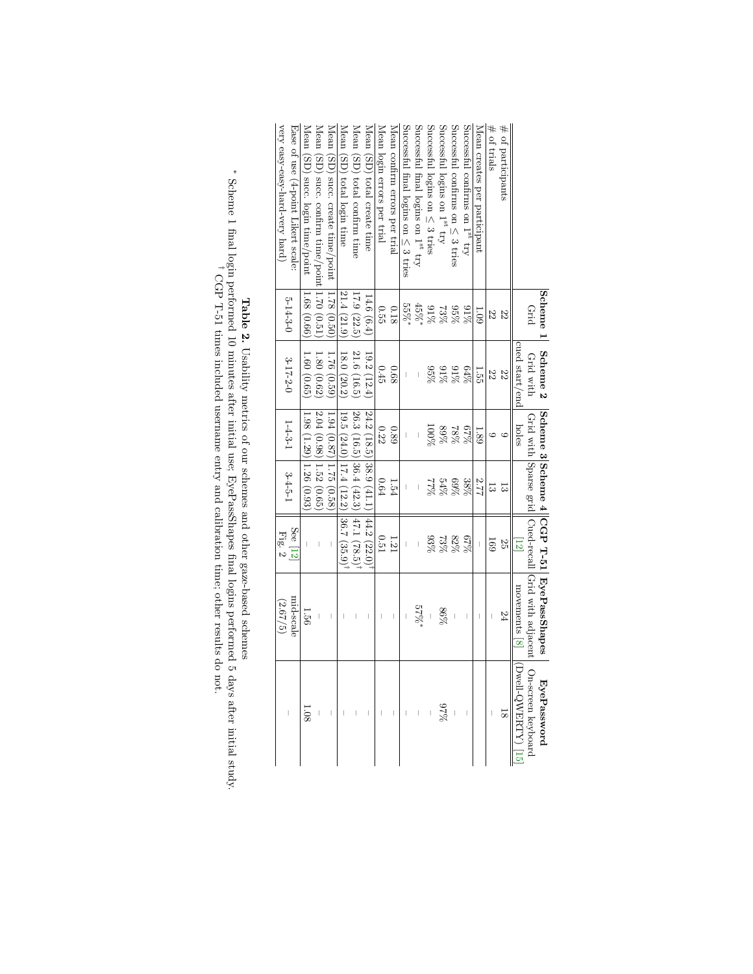|                                                                      |                  | Scheme 1 Scheme 2 |                            |                                              |                                |                                |                                                                                                                                                                    |
|----------------------------------------------------------------------|------------------|-------------------|----------------------------|----------------------------------------------|--------------------------------|--------------------------------|--------------------------------------------------------------------------------------------------------------------------------------------------------------------|
|                                                                      | Grid             | Grid with         |                            |                                              |                                |                                |                                                                                                                                                                    |
|                                                                      |                  | cued start/end    |                            |                                              |                                |                                | Scheme 3 Scheme 4 $ QGP T-51 $ EyePassShapes EyePassword<br>Crid with Sparse grid Cued-recall Grid with adjacent On-screen keyboard<br>holes<br>$\frac{1}{\log 2}$ |
| # of participants                                                    | 22               | 22                | $\infty$                   | ದ                                            | 25                             | $^{54}$                        | $\frac{18}{18}$                                                                                                                                                    |
| # of trials                                                          | 22               | 22                | $\circ$                    | ಜ                                            | $\overline{169}$               |                                |                                                                                                                                                                    |
| Mean creates per participant                                         | 1.09             | $\frac{1}{25}$    | 1.89                       | 2.77                                         |                                |                                |                                                                                                                                                                    |
| Successful confirms on 1 <sup>st</sup> try                           | 81%              | 84%               |                            | $38\%$                                       | 67%                            | $\mid$                         |                                                                                                                                                                    |
| Successful confirms on $\leq 3$ tries                                |                  |                   | 267%<br>79%                | %80                                          | $82\%$                         |                                |                                                                                                                                                                    |
| Successful logins on 1 <sup>st</sup> try                             | 92<br>23%<br>91% | 2518<br>2518      | $\%68$                     | $54\%$                                       | 28                             | 86%                            | %26                                                                                                                                                                |
| Successful logins on $\leq 3$ tries                                  |                  | 268               | 100%                       | 2622                                         | 93%                            | $\overline{\phantom{a}}$       |                                                                                                                                                                    |
| Successful final logins on 1 <sup>st</sup> try                       | $45\%^\ast$      |                   |                            |                                              |                                | 57%                            |                                                                                                                                                                    |
| Successful final logins on $\leq 3$ tries                            | 55%*             | Ī                 |                            | I                                            | I                              | I                              |                                                                                                                                                                    |
| Mean confirm errors per trial                                        | 0.18             | 89.0              | 0.89                       | 1.54                                         | 1.21                           | I                              |                                                                                                                                                                    |
| Mean login errors per trial                                          | 0.55             | 0.45              | 0.22                       | 0.64                                         | L51                            | T                              |                                                                                                                                                                    |
| Mean (SD) total create time                                          | 14.6(6.4)        | 19.2 (12.4)       | 24.2 (18.5)                | 38.9(41.1)                                   | 44.2(22.0)                     | $\begin{array}{c} \end{array}$ |                                                                                                                                                                    |
| Mean (SD) total confirm time                                         | 17.9(22.5)       | 21.6 (16.5)       |                            | 26.3(16.5) 36.4(42.3)  47.1(78.5)            |                                |                                |                                                                                                                                                                    |
| Mean (SD) total login time                                           | 21.4(21.9)       | 18.0 (20.2)       |                            | 19.5 $(24.0)$ 17.4 $(12.2)$ [36.7 $(35.9)$ ] |                                |                                |                                                                                                                                                                    |
| Mean (SD) succ. create time/point                                    | 1.78(0.50)       | 1.76 (0.59)       | 1.94(0.87)                 | 1.75 (0.58)                                  | $\begin{array}{c} \end{array}$ | $\mid$                         |                                                                                                                                                                    |
| Mean (SD) succ. confirm time/point[1.70 (0.51)                       |                  | 1.80 (0.62)       | 2.04 (0.98)                | $\frac{1.52}{1.52}$ (0.65)                   |                                |                                |                                                                                                                                                                    |
| Mean (SD) succ. login time/point                                     | 1.68 (0.66)      | 1.60 (0.65)       | $1.98(1.29)$   1.26 (0.93) |                                              |                                | 1.56                           |                                                                                                                                                                    |
| very easy-easy-hard-very hard)<br>Ease of use (4-point Likert scale: | $5 - 14 - 3 - 0$ | $3 - 17 - 2 - 0$  | $1-4-3-1$                  | $3-4-5-1$                                    | See [12]<br>Fig. 2             | mid-scale<br>(2.67/5)          |                                                                                                                                                                    |
|                                                                      |                  |                   |                            |                                              |                                |                                |                                                                                                                                                                    |

Table 2. Usability metrics of our schemes and other gaze-based schemes ∗ Scheme 1 final login performed 10 minutes after initial use; EyePassShapes final logins performed 5 days after initial study.

<span id="page-7-0"></span>† CGP T-51 times included username entry and calibration time; other results do not.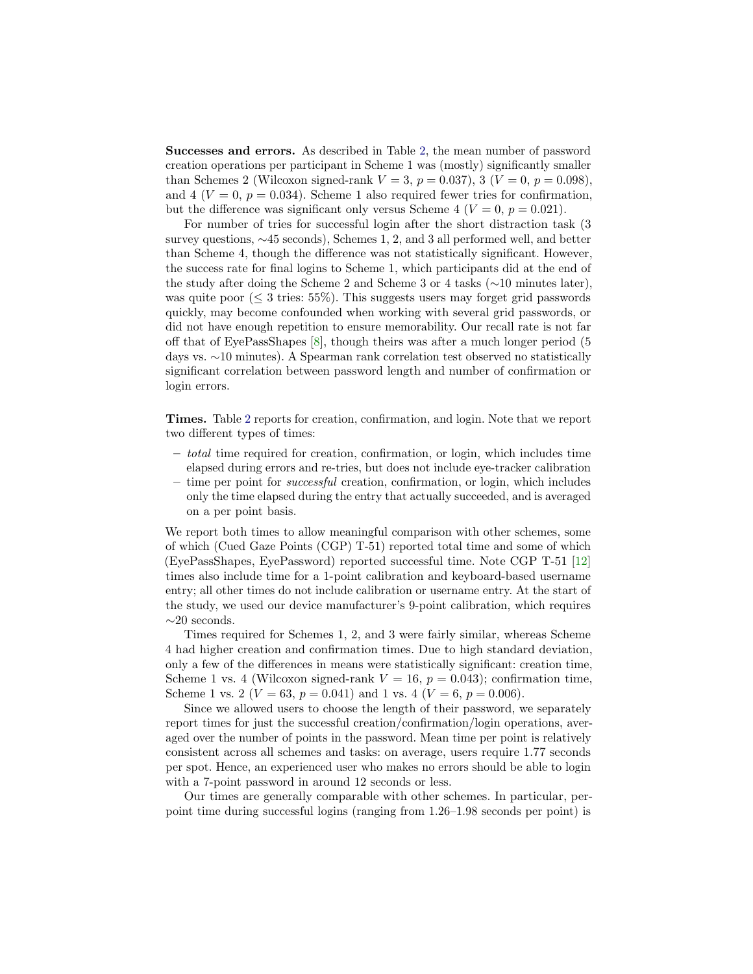Successes and errors. As described in Table [2,](#page-7-0) the mean number of password creation operations per participant in Scheme 1 was (mostly) significantly smaller than Schemes 2 (Wilcoxon signed-rank  $V = 3$ ,  $p = 0.037$ ), 3 ( $V = 0$ ,  $p = 0.098$ ), and 4 ( $V = 0$ ,  $p = 0.034$ ). Scheme 1 also required fewer tries for confirmation, but the difference was significant only versus Scheme 4 ( $V = 0$ ,  $p = 0.021$ ).

For number of tries for successful login after the short distraction task (3 survey questions,  $\sim$ 45 seconds), Schemes 1, 2, and 3 all performed well, and better than Scheme 4, though the difference was not statistically significant. However, the success rate for final logins to Scheme 1, which participants did at the end of the study after doing the Scheme 2 and Scheme 3 or 4 tasks (∼10 minutes later), was quite poor ( $\leq$  3 tries: 55%). This suggests users may forget grid passwords quickly, may become confounded when working with several grid passwords, or did not have enough repetition to ensure memorability. Our recall rate is not far off that of EyePassShapes [\[8\]](#page-10-4), though theirs was after a much longer period (5 days vs. ∼10 minutes). A Spearman rank correlation test observed no statistically significant correlation between password length and number of confirmation or login errors.

Times. Table [2](#page-7-0) reports for creation, confirmation, and login. Note that we report two different types of times:

- total time required for creation, confirmation, or login, which includes time elapsed during errors and re-tries, but does not include eye-tracker calibration
- $-$  time per point for *successful* creation, confirmation, or login, which includes only the time elapsed during the entry that actually succeeded, and is averaged on a per point basis.

We report both times to allow meaningful comparison with other schemes, some of which (Cued Gaze Points (CGP) T-51) reported total time and some of which (EyePassShapes, EyePassword) reported successful time. Note CGP T-51 [\[12\]](#page-10-3) times also include time for a 1-point calibration and keyboard-based username entry; all other times do not include calibration or username entry. At the start of the study, we used our device manufacturer's 9-point calibration, which requires  $\sim$ 20 seconds.

Times required for Schemes 1, 2, and 3 were fairly similar, whereas Scheme 4 had higher creation and confirmation times. Due to high standard deviation, only a few of the differences in means were statistically significant: creation time, Scheme 1 vs. 4 (Wilcoxon signed-rank  $V = 16$ ,  $p = 0.043$ ); confirmation time, Scheme 1 vs. 2 ( $V = 63$ ,  $p = 0.041$ ) and 1 vs. 4 ( $V = 6$ ,  $p = 0.006$ ).

Since we allowed users to choose the length of their password, we separately report times for just the successful creation/confirmation/login operations, averaged over the number of points in the password. Mean time per point is relatively consistent across all schemes and tasks: on average, users require 1.77 seconds per spot. Hence, an experienced user who makes no errors should be able to login with a 7-point password in around 12 seconds or less.

Our times are generally comparable with other schemes. In particular, perpoint time during successful logins (ranging from 1.26–1.98 seconds per point) is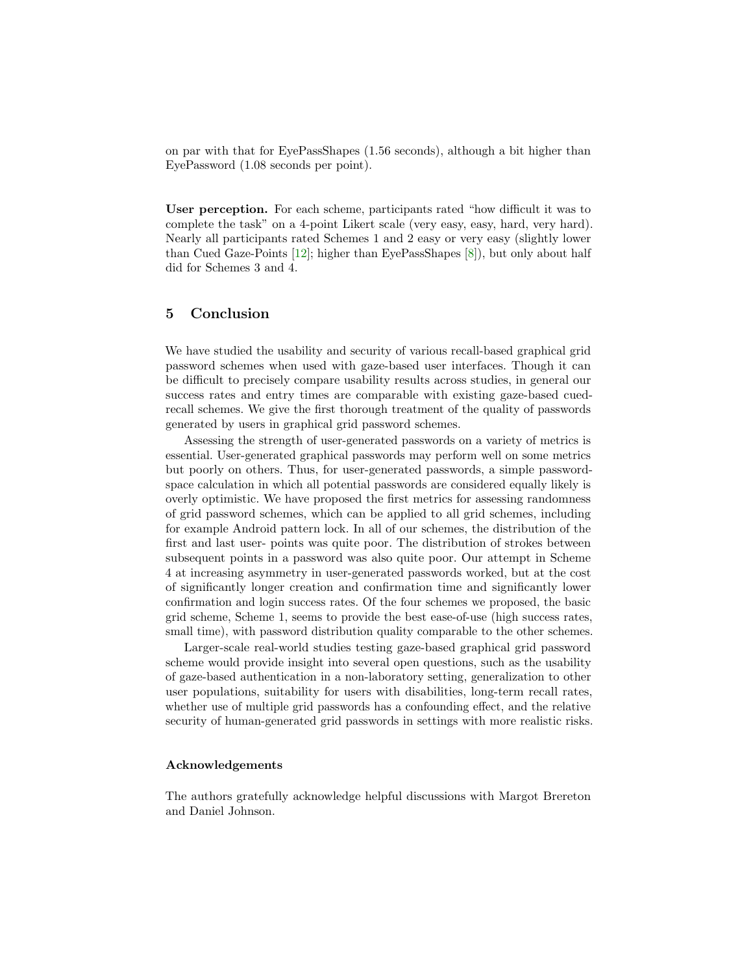on par with that for EyePassShapes (1.56 seconds), although a bit higher than EyePassword (1.08 seconds per point).

User perception. For each scheme, participants rated "how difficult it was to complete the task" on a 4-point Likert scale (very easy, easy, hard, very hard). Nearly all participants rated Schemes 1 and 2 easy or very easy (slightly lower than Cued Gaze-Points [\[12\]](#page-10-3); higher than EyePassShapes [\[8\]](#page-10-4)), but only about half did for Schemes 3 and 4.

## 5 Conclusion

We have studied the usability and security of various recall-based graphical grid password schemes when used with gaze-based user interfaces. Though it can be difficult to precisely compare usability results across studies, in general our success rates and entry times are comparable with existing gaze-based cuedrecall schemes. We give the first thorough treatment of the quality of passwords generated by users in graphical grid password schemes.

Assessing the strength of user-generated passwords on a variety of metrics is essential. User-generated graphical passwords may perform well on some metrics but poorly on others. Thus, for user-generated passwords, a simple passwordspace calculation in which all potential passwords are considered equally likely is overly optimistic. We have proposed the first metrics for assessing randomness of grid password schemes, which can be applied to all grid schemes, including for example Android pattern lock. In all of our schemes, the distribution of the first and last user- points was quite poor. The distribution of strokes between subsequent points in a password was also quite poor. Our attempt in Scheme 4 at increasing asymmetry in user-generated passwords worked, but at the cost of significantly longer creation and confirmation time and significantly lower confirmation and login success rates. Of the four schemes we proposed, the basic grid scheme, Scheme 1, seems to provide the best ease-of-use (high success rates, small time), with password distribution quality comparable to the other schemes.

Larger-scale real-world studies testing gaze-based graphical grid password scheme would provide insight into several open questions, such as the usability of gaze-based authentication in a non-laboratory setting, generalization to other user populations, suitability for users with disabilities, long-term recall rates, whether use of multiple grid passwords has a confounding effect, and the relative security of human-generated grid passwords in settings with more realistic risks.

#### Acknowledgements

The authors gratefully acknowledge helpful discussions with Margot Brereton and Daniel Johnson.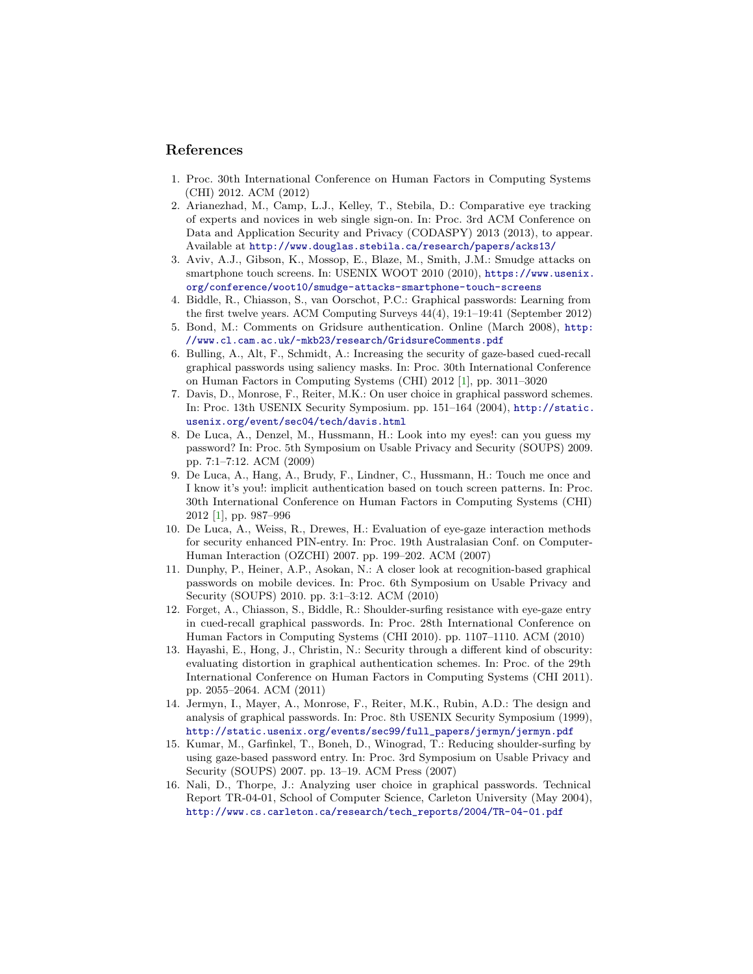### References

- <span id="page-10-15"></span>1. Proc. 30th International Conference on Human Factors in Computing Systems (CHI) 2012. ACM (2012)
- <span id="page-10-13"></span>2. Arianezhad, M., Camp, L.J., Kelley, T., Stebila, D.: Comparative eye tracking of experts and novices in web single sign-on. In: Proc. 3rd ACM Conference on Data and Application Security and Privacy (CODASPY) 2013 (2013), to appear. Available at <http://www.douglas.stebila.ca/research/papers/acks13/>
- <span id="page-10-9"></span>3. Aviv, A.J., Gibson, K., Mossop, E., Blaze, M., Smith, J.M.: Smudge attacks on smartphone touch screens. In: USENIX WOOT 2010 (2010), [https://www.usenix.](https://www.usenix.org/conference/woot10/smudge-attacks-smartphone-touch-screens) [org/conference/woot10/smudge-attacks-smartphone-touch-screens](https://www.usenix.org/conference/woot10/smudge-attacks-smartphone-touch-screens)
- <span id="page-10-0"></span>4. Biddle, R., Chiasson, S., van Oorschot, P.C.: Graphical passwords: Learning from the first twelve years. ACM Computing Surveys 44(4), 19:1–19:41 (September 2012)
- <span id="page-10-6"></span>5. Bond, M.: Comments on Gridsure authentication. Online (March 2008), [http:](http://www.cl.cam.ac.uk/~mkb23/research/GridsureComments.pdf) [//www.cl.cam.ac.uk/~mkb23/research/GridsureComments.pdf](http://www.cl.cam.ac.uk/~mkb23/research/GridsureComments.pdf)
- <span id="page-10-11"></span>6. Bulling, A., Alt, F., Schmidt, A.: Increasing the security of gaze-based cued-recall graphical passwords using saliency masks. In: Proc. 30th International Conference on Human Factors in Computing Systems (CHI) 2012 [\[1\]](#page-10-15), pp. 3011–3020
- <span id="page-10-2"></span>7. Davis, D., Monrose, F., Reiter, M.K.: On user choice in graphical password schemes. In: Proc. 13th USENIX Security Symposium. pp. 151–164 (2004), [http://static.](http://static.usenix.org/event/sec04/tech/davis.html) [usenix.org/event/sec04/tech/davis.html](http://static.usenix.org/event/sec04/tech/davis.html)
- <span id="page-10-4"></span>8. De Luca, A., Denzel, M., Hussmann, H.: Look into my eyes!: can you guess my password? In: Proc. 5th Symposium on Usable Privacy and Security (SOUPS) 2009. pp. 7:1–7:12. ACM (2009)
- <span id="page-10-10"></span>9. De Luca, A., Hang, A., Brudy, F., Lindner, C., Hussmann, H.: Touch me once and I know it's you!: implicit authentication based on touch screen patterns. In: Proc. 30th International Conference on Human Factors in Computing Systems (CHI) 2012 [\[1\]](#page-10-15), pp. 987–996
- <span id="page-10-5"></span>10. De Luca, A., Weiss, R., Drewes, H.: Evaluation of eye-gaze interaction methods for security enhanced PIN-entry. In: Proc. 19th Australasian Conf. on Computer-Human Interaction (OZCHI) 2007. pp. 199–202. ACM (2007)
- <span id="page-10-8"></span>11. Dunphy, P., Heiner, A.P., Asokan, N.: A closer look at recognition-based graphical passwords on mobile devices. In: Proc. 6th Symposium on Usable Privacy and Security (SOUPS) 2010. pp. 3:1–3:12. ACM (2010)
- <span id="page-10-3"></span>12. Forget, A., Chiasson, S., Biddle, R.: Shoulder-surfing resistance with eye-gaze entry in cued-recall graphical passwords. In: Proc. 28th International Conference on Human Factors in Computing Systems (CHI 2010). pp. 1107–1110. ACM (2010)
- <span id="page-10-12"></span>13. Hayashi, E., Hong, J., Christin, N.: Security through a different kind of obscurity: evaluating distortion in graphical authentication schemes. In: Proc. of the 29th International Conference on Human Factors in Computing Systems (CHI 2011). pp. 2055–2064. ACM (2011)
- <span id="page-10-1"></span>14. Jermyn, I., Mayer, A., Monrose, F., Reiter, M.K., Rubin, A.D.: The design and analysis of graphical passwords. In: Proc. 8th USENIX Security Symposium (1999), [http://static.usenix.org/events/sec99/full\\_papers/jermyn/jermyn.pdf](http://static.usenix.org/events/sec99/full_papers/jermyn/jermyn.pdf)
- <span id="page-10-7"></span>15. Kumar, M., Garfinkel, T., Boneh, D., Winograd, T.: Reducing shoulder-surfing by using gaze-based password entry. In: Proc. 3rd Symposium on Usable Privacy and Security (SOUPS) 2007. pp. 13–19. ACM Press (2007)
- <span id="page-10-14"></span>16. Nali, D., Thorpe, J.: Analyzing user choice in graphical passwords. Technical Report TR-04-01, School of Computer Science, Carleton University (May 2004), [http://www.cs.carleton.ca/research/tech\\_reports/2004/TR-04-01.pdf](http://www.cs.carleton.ca/research/tech_reports/2004/TR-04-01.pdf)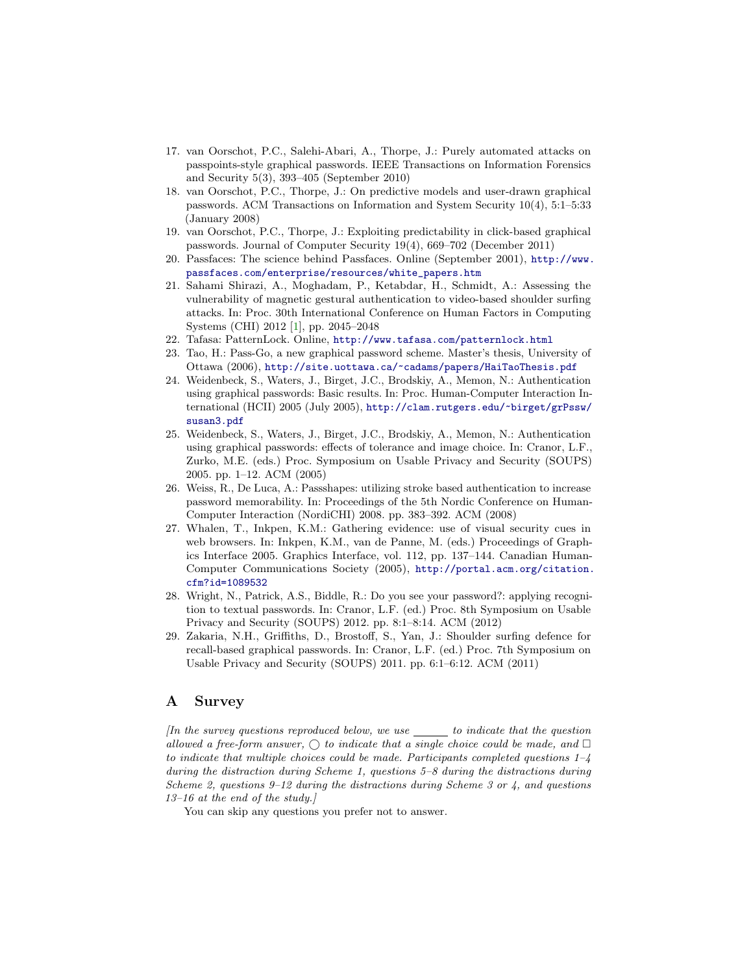- <span id="page-11-10"></span>17. van Oorschot, P.C., Salehi-Abari, A., Thorpe, J.: Purely automated attacks on passpoints-style graphical passwords. IEEE Transactions on Information Forensics and Security 5(3), 393–405 (September 2010)
- <span id="page-11-9"></span>18. van Oorschot, P.C., Thorpe, J.: On predictive models and user-drawn graphical passwords. ACM Transactions on Information and System Security 10(4), 5:1–5:33 (January 2008)
- <span id="page-11-11"></span>19. van Oorschot, P.C., Thorpe, J.: Exploiting predictability in click-based graphical passwords. Journal of Computer Security 19(4), 669–702 (December 2011)
- <span id="page-11-0"></span>20. Passfaces: The science behind Passfaces. Online (September 2001), [http://www.](http://www.passfaces.com/enterprise/resources/white_papers.htm) [passfaces.com/enterprise/resources/white\\_papers.htm](http://www.passfaces.com/enterprise/resources/white_papers.htm)
- <span id="page-11-8"></span>21. Sahami Shirazi, A., Moghadam, P., Ketabdar, H., Schmidt, A.: Assessing the vulnerability of magnetic gestural authentication to video-based shoulder surfing attacks. In: Proc. 30th International Conference on Human Factors in Computing Systems (CHI) 2012 [\[1\]](#page-10-15), pp. 2045–2048
- <span id="page-11-6"></span>22. Tafasa: PatternLock. Online, <http://www.tafasa.com/patternlock.html>
- <span id="page-11-4"></span>23. Tao, H.: Pass-Go, a new graphical password scheme. Master's thesis, University of Ottawa (2006), <http://site.uottawa.ca/~cadams/papers/HaiTaoThesis.pdf>
- <span id="page-11-2"></span>24. Weidenbeck, S., Waters, J., Birget, J.C., Brodskiy, A., Memon, N.: Authentication using graphical passwords: Basic results. In: Proc. Human-Computer Interaction International (HCII) 2005 (July 2005), [http://clam.rutgers.edu/~birget/grPssw/](http://clam.rutgers.edu/~birget/grPssw/susan3.pdf) [susan3.pdf](http://clam.rutgers.edu/~birget/grPssw/susan3.pdf)
- <span id="page-11-3"></span>25. Weidenbeck, S., Waters, J., Birget, J.C., Brodskiy, A., Memon, N.: Authentication using graphical passwords: effects of tolerance and image choice. In: Cranor, L.F., Zurko, M.E. (eds.) Proc. Symposium on Usable Privacy and Security (SOUPS) 2005. pp. 1–12. ACM (2005)
- <span id="page-11-5"></span>26. Weiss, R., De Luca, A.: Passshapes: utilizing stroke based authentication to increase password memorability. In: Proceedings of the 5th Nordic Conference on Human-Computer Interaction (NordiCHI) 2008. pp. 383–392. ACM (2008)
- <span id="page-11-12"></span>27. Whalen, T., Inkpen, K.M.: Gathering evidence: use of visual security cues in web browsers. In: Inkpen, K.M., van de Panne, M. (eds.) Proceedings of Graphics Interface 2005. Graphics Interface, vol. 112, pp. 137–144. Canadian Human-Computer Communications Society (2005), [http://portal.acm.org/citation.](http://portal.acm.org/citation.cfm?id=1089532) [cfm?id=1089532](http://portal.acm.org/citation.cfm?id=1089532)
- <span id="page-11-1"></span>28. Wright, N., Patrick, A.S., Biddle, R.: Do you see your password?: applying recognition to textual passwords. In: Cranor, L.F. (ed.) Proc. 8th Symposium on Usable Privacy and Security (SOUPS) 2012. pp. 8:1–8:14. ACM (2012)
- <span id="page-11-7"></span>29. Zakaria, N.H., Griffiths, D., Brostoff, S., Yan, J.: Shoulder surfing defence for recall-based graphical passwords. In: Cranor, L.F. (ed.) Proc. 7th Symposium on Usable Privacy and Security (SOUPS) 2011. pp. 6:1–6:12. ACM (2011)

# <span id="page-11-13"></span>A Survey

 $[In the survey questions reproduced below, we use __ to indicate that the question$ allowed a free-form answer,  $\bigcirc$  to indicate that a single choice could be made, and  $\Box$ to indicate that multiple choices could be made. Participants completed questions  $1-\frac{1}{4}$ during the distraction during Scheme 1, questions 5–8 during the distractions during Scheme 2, questions  $9-12$  during the distractions during Scheme 3 or 4, and questions 13–16 at the end of the study.]

You can skip any questions you prefer not to answer.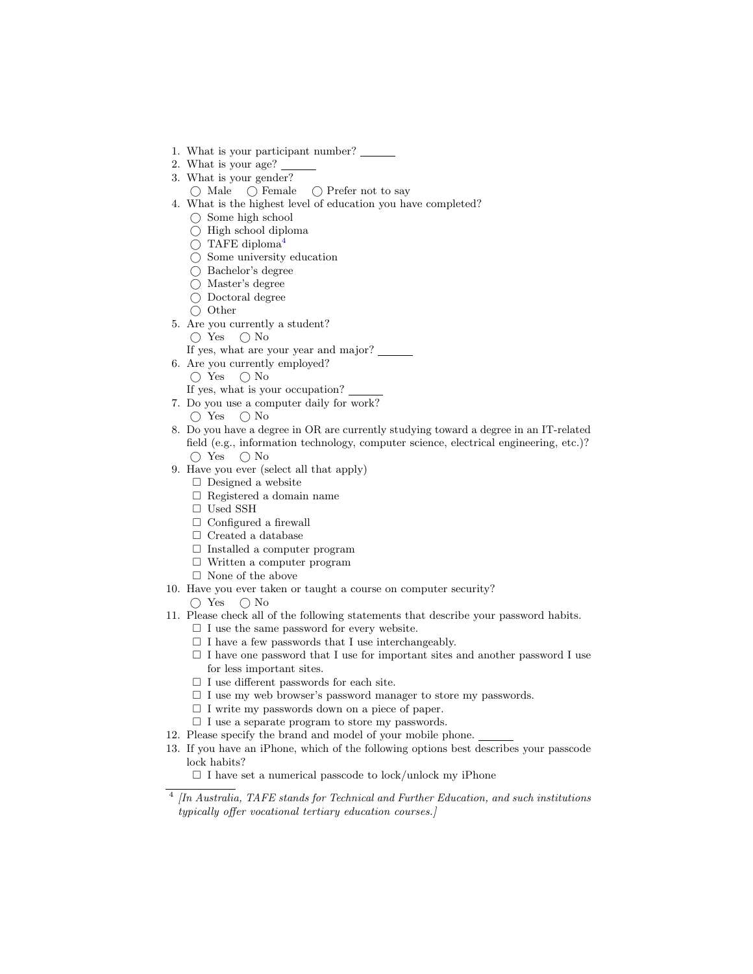- 1. What is your participant number?
- 2. What is your age?
- 3. What is your gender?
	- $\bigcap$  Male  $\bigcap$  Female  $\bigcap$  Prefer not to say
- 4. What is the highest level of education you have completed?
	- $\bigcirc$  Some high school
	- $\bigcap$  High school diploma
	- $\bigcirc$  TAFE diploma<sup>[4](#page-12-0)</sup>
	- $\bigcirc$  Some university education
	- Bachelor's degree
	- Master's degree
	- Doctoral degree
	- ◯ Other
- 5. Are you currently a student?
	- $\bigcap$  Yes  $\bigcap$  No
	- If yes, what are your year and major?
- 6. Are you currently employed?
	- $\bigcap$  Yes  $\bigcap$  No
- If yes, what is your occupation? 7. Do you use a computer daily for work?
- $\bigcirc$  Yes  $\bigcirc$  No
- 8. Do you have a degree in OR are currently studying toward a degree in an IT-related field (e.g., information technology, computer science, electrical engineering, etc.)?  $\bigcirc$  Yes  $\bigcirc$  No
- 9. Have you ever (select all that apply)
- $\Box$  Designed a website
	- $\Box$  Registered a domain name
	- $\square$  Used SSH
	- $\Box$  Configured a firewall
	- $\Box$  Created a database
	- $\Box$  Installed a computer program
	- $\Box$  Written a computer program
	- $\Box$  None of the above
- 10. Have you ever taken or taught a course on computer security?
- $\bigcirc$  Yes  $\bigcirc$  No
- 11. Please check all of the following statements that describe your password habits.
	- $\Box$  I use the same password for every website.
	- $\Box$  I have a few passwords that I use interchangeably.
	- $\Box$  I have one password that I use for important sites and another password I use for less important sites.
	- $\Box$  I use different passwords for each site.
	- $\Box$  I use my web browser's password manager to store my passwords.
	- $\Box$  I write my passwords down on a piece of paper.
	- $\Box$  I use a separate program to store my passwords.
- 12. Please specify the brand and model of your mobile phone.
- 13. If you have an iPhone, which of the following options best describes your passcode lock habits?
	- $\Box$  I have set a numerical passcode to lock/unlock my iPhone
- <span id="page-12-0"></span> $4$  [In Australia, TAFE stands for Technical and Further Education, and such institutions typically offer vocational tertiary education courses.]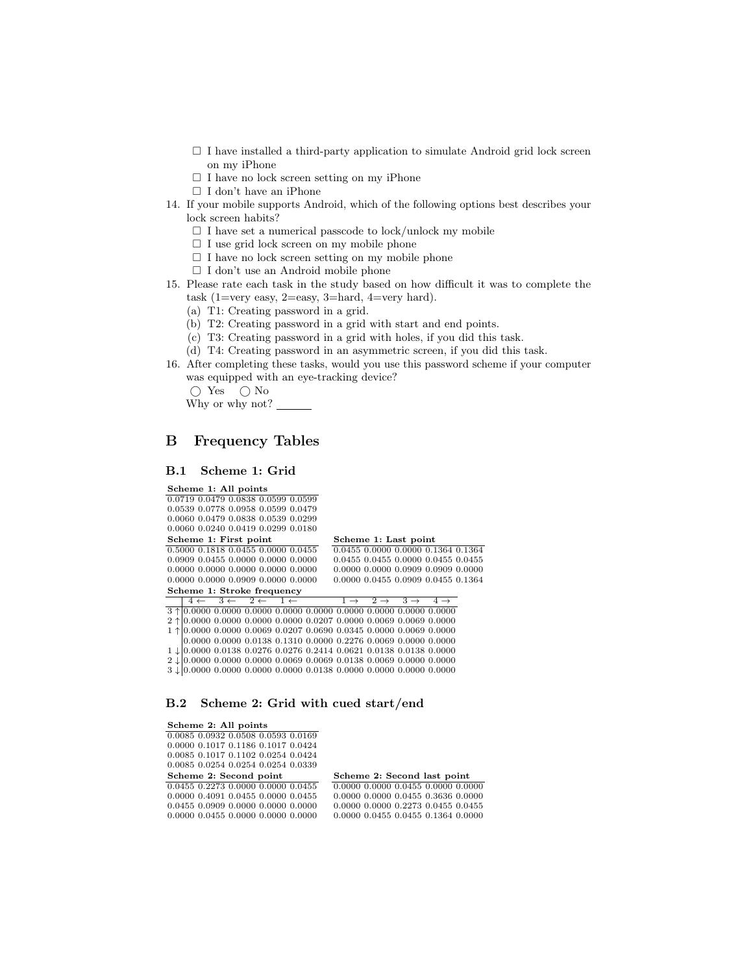- $\Box$  I have installed a third-party application to simulate Android grid lock screen on my iPhone
- $\Box$  I have no lock screen setting on my iPhone
- $\Box$  I don't have an iPhone
- 14. If your mobile supports Android, which of the following options best describes your lock screen habits?
	- $\Box$  I have set a numerical passcode to lock/unlock my mobile
	- $\Box$  I use grid lock screen on my mobile phone
	- $\Box$  I have no lock screen setting on my mobile phone
	- $\Box$  I don't use an Android mobile phone
- 15. Please rate each task in the study based on how difficult it was to complete the task (1=very easy, 2=easy, 3=hard, 4=very hard).
	- (a) T1: Creating password in a grid.
	- (b) T2: Creating password in a grid with start and end points.
	- (c) T3: Creating password in a grid with holes, if you did this task.
	- (d) T4: Creating password in an asymmetric screen, if you did this task.
- 16. After completing these tasks, would you use this password scheme if your computer was equipped with an eye-tracking device?
	- $\bigcirc$  Yes  $\bigcirc$  No
	- Why or why not?  $\_\_$

# <span id="page-13-0"></span>B Frequency Tables

#### B.1 Scheme 1: Grid

#### Scheme 1: All points

| 0.0719 0.0479 0.0838 0.0599 0.0599           |  |                                                       |  |                 |                                                                                               |                 |                 |  |
|----------------------------------------------|--|-------------------------------------------------------|--|-----------------|-----------------------------------------------------------------------------------------------|-----------------|-----------------|--|
| 0.0539 0.0778 0.0958 0.0599 0.0479           |  |                                                       |  |                 |                                                                                               |                 |                 |  |
| 0.0060 0.0479 0.0838 0.0539 0.0299           |  |                                                       |  |                 |                                                                                               |                 |                 |  |
| 0.0060 0.0240 0.0419 0.0299 0.0180           |  |                                                       |  |                 |                                                                                               |                 |                 |  |
| Scheme 1: First point                        |  |                                                       |  |                 | Scheme 1: Last point                                                                          |                 |                 |  |
| 0.5000 0.1818 0.0455 0.0000 0.0455           |  |                                                       |  |                 | 0.0455 0.0000 0.0000 0.1364 0.1364                                                            |                 |                 |  |
| $0.0909$ $0.0455$ $0.0000$ $0.0000$ $0.0000$ |  |                                                       |  |                 | 0.0455 0.0455 0.0000 0.0455 0.0455                                                            |                 |                 |  |
|                                              |  |                                                       |  |                 | 0.0000 0.0000 0.0909 0.0909 0.0000                                                            |                 |                 |  |
| $0.0000$ $0.0000$ $0.0909$ $0.0000$ $0.0000$ |  |                                                       |  |                 | 0.0000 0.0455 0.0909 0.0455 0.1364                                                            |                 |                 |  |
| Scheme 1: Stroke frequency                   |  |                                                       |  |                 |                                                                                               |                 |                 |  |
|                                              |  | $4 \leftarrow 3 \leftarrow 2 \leftarrow 1 \leftarrow$ |  | $1 \rightarrow$ | $2 \rightarrow$                                                                               | $3 \rightarrow$ | $4 \rightarrow$ |  |
|                                              |  |                                                       |  |                 | $3$ $\uparrow$ $\mid$ 0.0000 0.0000 0.0000 0.0000 0.0000 0.0000 0.0000 0.0000 0.0000 0.0000   |                 |                 |  |
|                                              |  |                                                       |  |                 | $2 \uparrow$ 0.0000 0.0000 0.0000 0.0000 0.0207 0.0000 0.0069 0.0069 0.0000                   |                 |                 |  |
|                                              |  |                                                       |  |                 | $1$ $\uparrow$ 0.0000 0.0000 0.0069 0.0207 0.0690 0.0345 0.0000 0.0069 0.0000                 |                 |                 |  |
|                                              |  |                                                       |  |                 | $0.0000$ $0.0000$ $0.0138$ $0.1310$ $0.0000$ $0.2276$ $0.0069$ $0.0000$ $0.0000$              |                 |                 |  |
|                                              |  |                                                       |  |                 | 1 1 10.0000 0.0138 0.0276 0.0276 0.2414 0.0621 0.0138 0.0138 0.0000                           |                 |                 |  |
|                                              |  |                                                       |  |                 | $2 \downarrow 0.0000$ $0.0000$ $0.0000$ $0.0069$ $0.0069$ $0.0138$ $0.0069$ $0.0000$ $0.0000$ |                 |                 |  |

2 ↓|0.0000 0.0000 0.0000 0.0069 0.0069 0.0138 0.0069 0.0000 0.0000<br>3 ↓|0.0000 0.0000 0.0000 0.0000 0.0138 0.0000 0.0000 0.0000 0.0000

#### B.2 Scheme 2: Grid with cued start/end

#### Scheme 2: All points  $0.050900033$

| <u>u.uusa u.usaz u.uaus u.uasa u.u109</u> |     |
|-------------------------------------------|-----|
| 0.0000 0.1017 0.1186 0.1017 0.0424        |     |
| 0.0085 0.1017 0.1102 0.0254 0.0424        |     |
| 0.0085 0.0254 0.0254 0.0254 0.0339        |     |
| Scheme 2: Second point                    | Sc  |
|                                           |     |
| 0.0455 0.2273 0.0000 0.0000 0.0455        | 0.0 |
| 0.0000 0.4091 0.0455 0.0000 0.0455        | 0.0 |
| 0.0455 0.0909 0.0000 0.0000 0.0000        | 0.0 |
| 0.0000 0.0455 0.0000 0.0000 0.0000        | 0.0 |

cheme 2: Second last point 0.0000 0.0000 0.0455 0.0000 0.0000 0.0000 0.0000 0.0455 0.3636 0.0000 0.0000 0.0000 0.2273 0.0455 0.0455 0.0000 0.0455 0.0455 0.1364 0.0000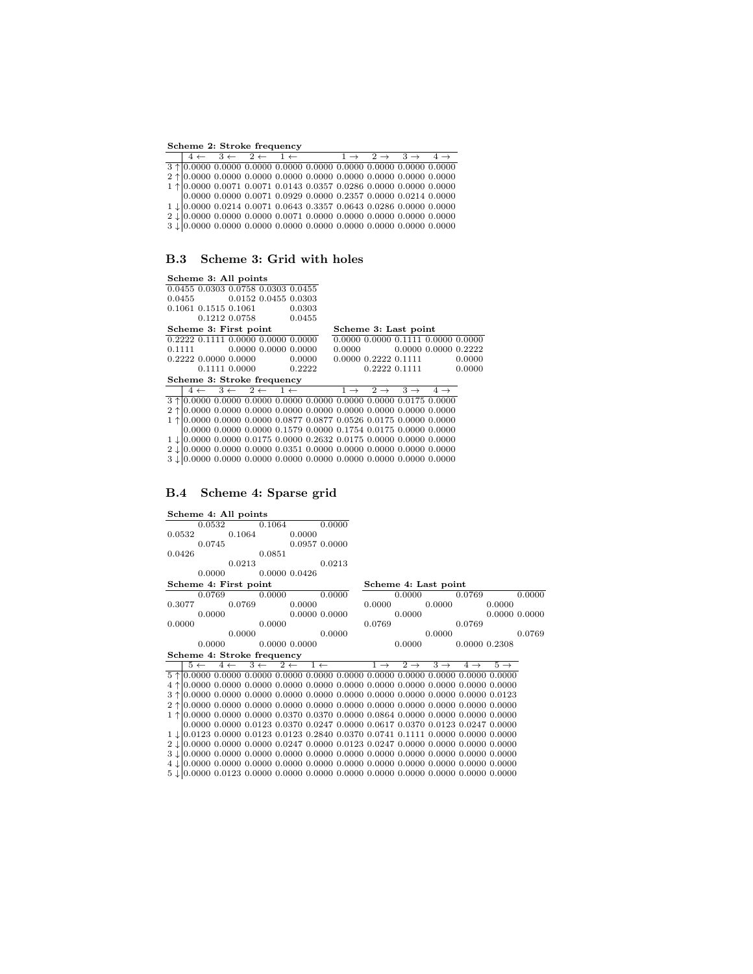| Scheme 2: Stroke frequency |  |  |  |  |
|----------------------------|--|--|--|--|
|----------------------------|--|--|--|--|

|                                                                               | $4 \leftarrow 3 \leftarrow 2 \leftarrow 1 \leftarrow$ |  | $1 \rightarrow 2 \rightarrow 3 \rightarrow 4 \rightarrow$ |  |  |
|-------------------------------------------------------------------------------|-------------------------------------------------------|--|-----------------------------------------------------------|--|--|
| $3$ $\uparrow$ 0.0000 0.0000 0.0000 0.0000 0.0000 0.0000 0.0000 0.0000 0.0000 |                                                       |  |                                                           |  |  |
| $2 \uparrow$ 0.0000 0.0000 0.0000 0.0000 0.0000 0.0000 0.0000 0.0000 0.0000   |                                                       |  |                                                           |  |  |
| $1   0.0000 0.0071 0.0071 0.0143 0.0357 0.0286 0.0000 0.0000 0.0000$          |                                                       |  |                                                           |  |  |
| $ 0.0000 0.0000 0.0071 0.0929 0.0000 0.2357 0.0000 0.0214 0.0000$             |                                                       |  |                                                           |  |  |
| 1 1 0.0000 0.0214 0.0071 0.0643 0.3357 0.0643 0.0286 0.0000 0.0000            |                                                       |  |                                                           |  |  |
| $2 \downarrow 0.0000$ 0.0000 0.0000 0.0071 0.0000 0.0000 0.0000 0.0000 0.0000 |                                                       |  |                                                           |  |  |
| $3\downarrow$ 0.0000 0.0000 0.0000 0.0000 0.0000 0.0000 0.0000 0.0000 0.0000  |                                                       |  |                                                           |  |  |

# B.3 Scheme 3: Grid with holes

| Scheme 3: All points  |                |               |                             |                                              |                                                                                  |                 |                                    |                 |                      |        |
|-----------------------|----------------|---------------|-----------------------------|----------------------------------------------|----------------------------------------------------------------------------------|-----------------|------------------------------------|-----------------|----------------------|--------|
|                       |                |               |                             | 0.0455 0.0303 0.0758 0.0303 0.0455           |                                                                                  |                 |                                    |                 |                      |        |
| 0.0455                |                |               |                             | 0.0152 0.0455 0.0303                         |                                                                                  |                 |                                    |                 |                      |        |
| 0.1061 0.1515 0.1061  |                |               |                             |                                              | 0.0303                                                                           |                 |                                    |                 |                      |        |
|                       |                | 0.1212 0.0758 |                             |                                              | 0.0455                                                                           |                 |                                    |                 |                      |        |
| Scheme 3: First point |                |               |                             |                                              |                                                                                  |                 | Scheme 3: Last point               |                 |                      |        |
|                       |                |               |                             | $0.2222$ $0.1111$ $0.0000$ $0.0000$ $0.0000$ |                                                                                  |                 | 0.0000 0.0000 0.1111 0.0000 0.0000 |                 |                      |        |
| 0.1111                |                |               |                             | 0.0000 0.0000 0.0000                         |                                                                                  | 0.0000          |                                    |                 | 0.0000 0.0000 0.2222 |        |
| 0.2222 0.0000 0.0000  |                |               |                             |                                              | 0.0000                                                                           |                 | 0.0000 0.2222 0.1111               |                 |                      | 0.0000 |
|                       |                | 0.1111 0.0000 |                             |                                              | 0.2222                                                                           |                 | 0.2222 0.1111                      |                 |                      | 0.0000 |
|                       |                |               |                             | Scheme 3: Stroke frequency                   |                                                                                  |                 |                                    |                 |                      |        |
|                       | $4 \leftarrow$ |               | $3 \leftarrow 2 \leftarrow$ | $1 \leftarrow$                               |                                                                                  | $1 \rightarrow$ | $2 \rightarrow$                    | $3 \rightarrow$ | $4 \rightarrow$      |        |
|                       |                |               |                             |                                              | $3 \uparrow$ 0.0000 0.0000 0.0000 0.0000 0.0000 0.0000 0.0000 0.0175 0.0000      |                 |                                    |                 |                      |        |
|                       |                |               |                             |                                              | $2$ $\uparrow$ 0.0000 0.0000 0.0000 0.0000 0.0000 0.0000 0.0000 0.0000 0.0000    |                 |                                    |                 |                      |        |
|                       |                |               |                             |                                              | 1 10.0000 0.0000 0.0000 0.0877 0.0877 0.0526 0.0175 0.0000 0.0000                |                 |                                    |                 |                      |        |
|                       |                |               |                             |                                              | $0.0000$ $0.0000$ $0.0000$ $0.1579$ $0.0000$ $0.1754$ $0.0175$ $0.0000$ $0.0000$ |                 |                                    |                 |                      |        |
|                       |                |               |                             |                                              | $1 \downarrow 0.0000$ 0.0000 0.0175 0.0000 0.2632 0.0175 0.0000 0.0000 0.0000    |                 |                                    |                 |                      |        |
|                       |                |               |                             |                                              | $2 \downarrow 0.0000$ 0.0000 0.0000 0.0351 0.0000 0.0000 0.0000 0.0000 0.0000    |                 |                                    |                 |                      |        |
|                       |                |               |                             |                                              | $3 \downarrow$ 0.0000 0.0000 0.0000 0.0000 0.0000 0.0000 0.0000 0.0000 0.0000    |                 |                                    |                 |                      |        |

# B.4 Scheme 4: Sparse grid

|        | Scheme 4: All points       |                |                            |        |                                                                     |        |                                                                                                                                                                                                                                      |                 |                 |                 |                 |                                            |
|--------|----------------------------|----------------|----------------------------|--------|---------------------------------------------------------------------|--------|--------------------------------------------------------------------------------------------------------------------------------------------------------------------------------------------------------------------------------------|-----------------|-----------------|-----------------|-----------------|--------------------------------------------|
|        |                            | 0.0532         |                            | 0.1064 | 0.0000                                                              |        |                                                                                                                                                                                                                                      |                 |                 |                 |                 |                                            |
|        | $0.0532$ $0.1064$ $0.0000$ |                |                            |        |                                                                     |        |                                                                                                                                                                                                                                      |                 |                 |                 |                 |                                            |
|        |                            |                |                            |        | $\begin{array}{cc} 0.0745 & 0.0957\ 0.0000 \\ 0.0851 & \end{array}$ |        |                                                                                                                                                                                                                                      |                 |                 |                 |                 |                                            |
| 0.0426 |                            |                |                            |        |                                                                     |        |                                                                                                                                                                                                                                      |                 |                 |                 |                 |                                            |
|        |                            |                |                            |        | $0.0213$ 0.0213                                                     |        |                                                                                                                                                                                                                                      |                 |                 |                 |                 |                                            |
|        |                            |                | $0.0000$ $0.0000$ $0.0426$ |        |                                                                     |        |                                                                                                                                                                                                                                      |                 |                 |                 |                 |                                            |
|        | Scheme 4: First point      |                |                            |        |                                                                     |        | Scheme 4: Last point                                                                                                                                                                                                                 |                 |                 |                 |                 |                                            |
|        |                            | 0.0769         |                            | 0.0000 |                                                                     | 0.0000 |                                                                                                                                                                                                                                      | 0.0000          |                 | 0.0769          |                 | 0.0000                                     |
| 0.3077 |                            |                | 0.0769 0.0000              |        |                                                                     |        | 0.0000                                                                                                                                                                                                                               |                 | 0.0000          |                 | 0.0000          |                                            |
|        |                            |                |                            |        | $0.0000\qquad \qquad 0.0000\ \, 0.0000$                             |        |                                                                                                                                                                                                                                      |                 |                 |                 |                 | $0.0000 \qquad \qquad 0.0000 \; \; 0.0000$ |
| 0.0000 |                            |                |                            |        |                                                                     |        | $0.0769$ 0.0769                                                                                                                                                                                                                      |                 |                 |                 |                 |                                            |
|        |                            | 0.0000         |                            |        |                                                                     |        |                                                                                                                                                                                                                                      |                 | 0.0000 0.0769   |                 |                 |                                            |
|        |                            |                | $0.0000$ $0.0000$ $0.0000$ |        | $0.0000$<br>$0.0000$<br>$0.0000$                                    |        |                                                                                                                                                                                                                                      | 0.0000          |                 | 0.0000 0.2308   |                 |                                            |
|        | Scheme 4: Stroke frequency |                |                            |        |                                                                     |        |                                                                                                                                                                                                                                      |                 |                 |                 |                 |                                            |
|        | $5 \leftarrow$             | $4 \leftarrow$ | $3 \leftarrow$             |        |                                                                     |        | $2 \leftarrow 1 \leftarrow 1 \rightarrow$                                                                                                                                                                                            | $2 \rightarrow$ | $3 \rightarrow$ | $4 \rightarrow$ | $5 \rightarrow$ |                                            |
|        |                            |                |                            |        |                                                                     |        | $5$ $\uparrow$ 0.0000 0.0000 0.0000 0.0000 0.0000 0.0000 0.0000 0.0000 0.0000 0.0000 0.0000                                                                                                                                          |                 |                 |                 |                 |                                            |
|        |                            |                |                            |        |                                                                     |        | $4$ $\uparrow$ $\mid$ 0.0000 0.0000 0.0000 0.0000 0.0000 0.0000 0.0000 0.0000 0.0000 0.0000 0.0000                                                                                                                                   |                 |                 |                 |                 |                                            |
|        |                            |                |                            |        |                                                                     |        | $3$ $\dagger$ 0.0000 0.0000 0.0000 0.0000 0.0000 0.0000 0.0000 0.0000 0.0000 0.0000 0.0123                                                                                                                                           |                 |                 |                 |                 |                                            |
|        |                            |                |                            |        |                                                                     |        | $2$ $\uparrow$ $\mid$ 0.0000 0.0000 0.0000 0.0000 0.0000 0.0000 0.0000 0.0000 0.0000 0.0000 0.0000 0.0000 0.0000 0.0000 0.0000 0.0000 0.0000 0.0000 0.0000 0.0000 0.0000 0.0000 0.0000 0.0000 0.0000 0.0000 0.0000 0.0000 0.0000 0.0 |                 |                 |                 |                 |                                            |
|        |                            |                |                            |        |                                                                     |        | $1$ $\uparrow$ 0.0000 0.0000 0.0000 0.0370 0.0370 0.0000 0.0864 0.0000 0.0000 0.0000 0.0000                                                                                                                                          |                 |                 |                 |                 |                                            |
|        |                            |                |                            |        |                                                                     |        | 0.0000 0.0000 0.0123 0.0370 0.0247 0.0000 0.0617 0.0370 0.0123 0.0247 0.0000                                                                                                                                                         |                 |                 |                 |                 |                                            |
|        |                            |                |                            |        |                                                                     |        | $1 \downarrow 0.0123$ 0.0000 0.0123 0.0123 0.2840 0.0370 0.0741 0.1111 0.0000 0.0000 0.0000                                                                                                                                          |                 |                 |                 |                 |                                            |
|        |                            |                |                            |        |                                                                     |        | $2 \downarrow 0.0000$ 0.0000 0.0000 0.0247 0.0000 0.0123 0.0247 0.0000 0.0000 0.0000 0.0000                                                                                                                                          |                 |                 |                 |                 |                                            |
|        |                            |                |                            |        |                                                                     |        | $3 \downarrow 0.0000$ $0.0000$ $0.0000$ $0.0000$ $0.0000$ $0.0000$ $0.0000$ $0.0000$ $0.0000$ $0.0000$ $0.0000$                                                                                                                      |                 |                 |                 |                 |                                            |
|        |                            |                |                            |        |                                                                     |        | $4 \downarrow 0.0000$ 0.0000 0.0000 0.0000 0.0000 0.0000 0.0000 0.0000 0.0000 0.0000 0.0000                                                                                                                                          |                 |                 |                 |                 |                                            |
|        |                            |                |                            |        |                                                                     |        | $5 \downarrow 0.0000$ $0.0123$ $0.0000$ $0.0000$ $0.0000$ $0.0000$ $0.0000$ $0.0000$ $0.0000$ $0.0000$ $0.0000$                                                                                                                      |                 |                 |                 |                 |                                            |